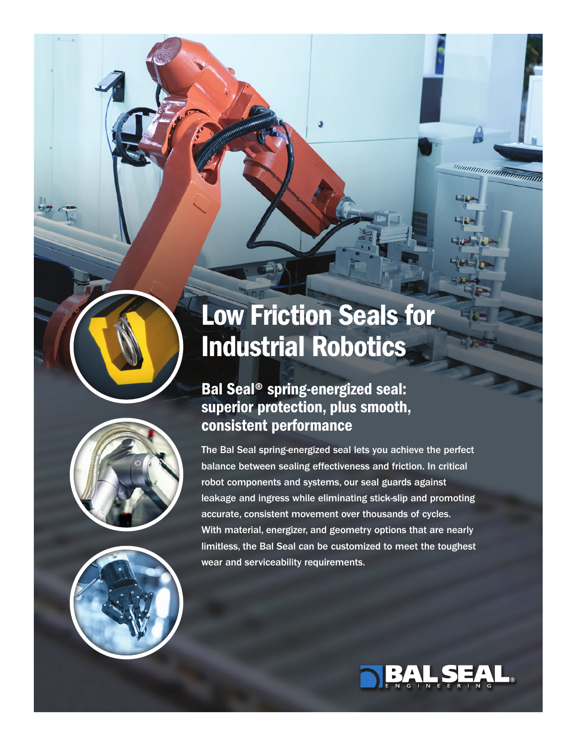# Low Friction Seals for Industrial Robotics

## Bal Seal® spring-energized seal: superior protection, plus smooth, consistent performance

The Bal Seal spring-energized seal lets you achieve the perfect balance between sealing effectiveness and friction. In critical robot components and systems, our seal guards against leakage and ingress while eliminating stick-slip and promoting accurate, consistent movement over thousands of cycles. With material, energizer, and geometry options that are nearly limitless, the Bal Seal can be customized to meet the toughest wear and serviceability requirements.



<sup>nn</sup>nnnnnnn<del>nnnnnnnnnn</del>